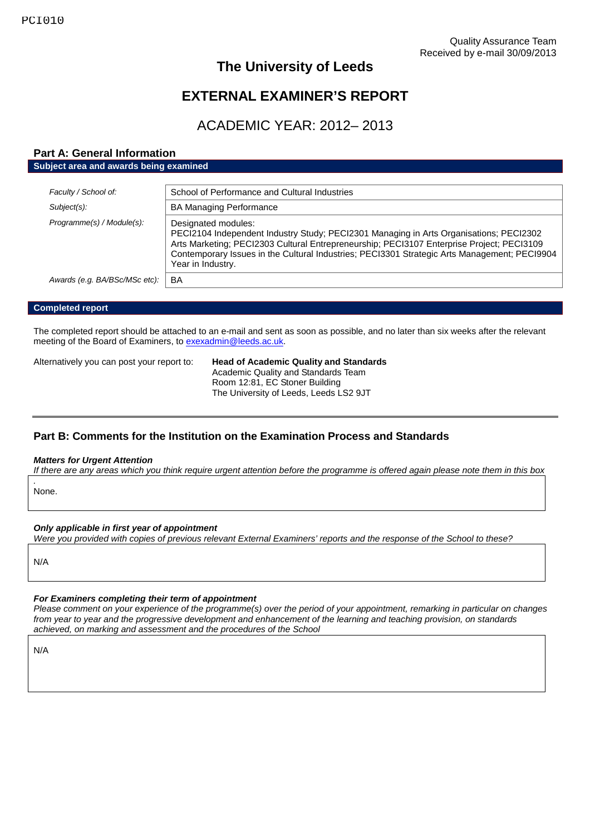# **The University of Leeds**

# **EXTERNAL EXAMINER'S REPORT**

# ACADEMIC YEAR: 2012– 2013

## **Part A: General Information Subject area and awards being examined**

| Faculty / School of:          | School of Performance and Cultural Industries                                                                                                                                                                                                                                                                                   |
|-------------------------------|---------------------------------------------------------------------------------------------------------------------------------------------------------------------------------------------------------------------------------------------------------------------------------------------------------------------------------|
| Subject(s):                   | <b>BA Managing Performance</b>                                                                                                                                                                                                                                                                                                  |
| Programme(s) / Module(s):     | Designated modules:<br>PECI2104 Independent Industry Study; PECI2301 Managing in Arts Organisations; PECI2302<br>Arts Marketing; PECI2303 Cultural Entrepreneurship; PECI3107 Enterprise Project; PECI3109<br>Contemporary Issues in the Cultural Industries; PECI3301 Strategic Arts Management; PECI9904<br>Year in Industry. |
| Awards (e.g. BA/BSc/MSc etc): | BA                                                                                                                                                                                                                                                                                                                              |
|                               |                                                                                                                                                                                                                                                                                                                                 |

### **Completed report**

The completed report should be attached to an e-mail and sent as soon as possible, and no later than six weeks after the relevant meeting of the Board of Examiners, to [exexadmin@leeds.ac.uk.](mailto:exexadmin@leeds.ac.uk)

Alternatively you can post your report to: **Head of Academic Quality and Standards** Academic Quality and Standards Team Room 12:81, EC Stoner Building The University of Leeds, Leeds LS2 9JT

## **Part B: Comments for the Institution on the Examination Process and Standards**

#### *Matters for Urgent Attention*

*If there are any areas which you think require urgent attention before the programme is offered again please note them in this box*

*.* None.

### *Only applicable in first year of appointment*

*Were you provided with copies of previous relevant External Examiners' reports and the response of the School to these?*

N/A

## *For Examiners completing their term of appointment*

*Please comment on your experience of the programme(s) over the period of your appointment, remarking in particular on changes from year to year and the progressive development and enhancement of the learning and teaching provision, on standards achieved, on marking and assessment and the procedures of the School*

N/A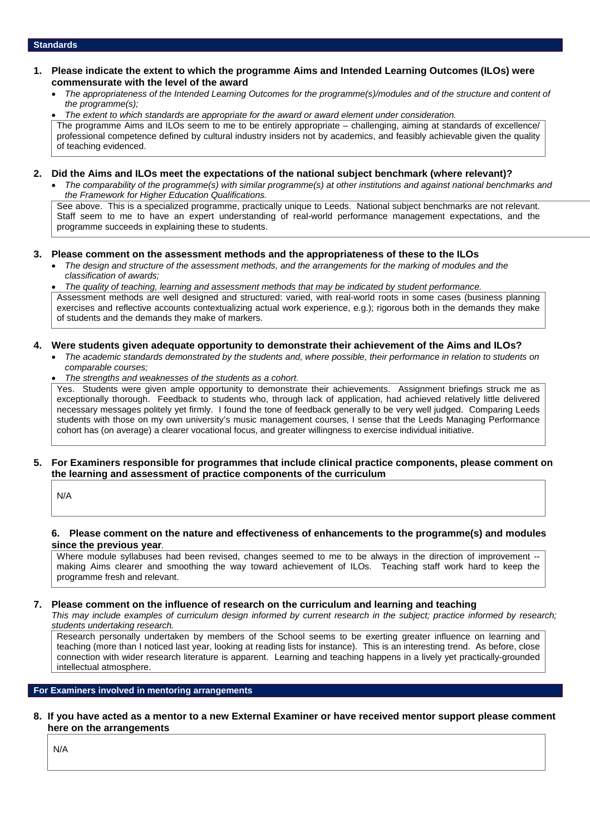- **1. Please indicate the extent to which the programme Aims and Intended Learning Outcomes (ILOs) were commensurate with the level of the award**
	- *The appropriateness of the Intended Learning Outcomes for the programme(s)/modules and of the structure and content of the programme(s);*

 *The extent to which standards are appropriate for the award or award element under consideration.* The programme Aims and ILOs seem to me to be entirely appropriate – challenging, aiming at standards of excellence/ professional competence defined by cultural industry insiders not by academics, and feasibly achievable given the quality of teaching evidenced.

#### **2. Did the Aims and ILOs meet the expectations of the national subject benchmark (where relevant)?**

 *The comparability of the programme(s) with similar programme(s) at other institutions and against national benchmarks and the Framework for Higher Education Qualifications.*

See above. This is a specialized programme, practically unique to Leeds. National subject benchmarks are not relevant. Staff seem to me to have an expert understanding of real-world performance management expectations, and the programme succeeds in explaining these to students.

### **3. Please comment on the assessment methods and the appropriateness of these to the ILOs**

 *The design and structure of the assessment methods, and the arrangements for the marking of modules and the classification of awards;*

 *The quality of teaching, learning and assessment methods that may be indicated by student performance.* Assessment methods are well designed and structured: varied, with real-world roots in some cases (business planning exercises and reflective accounts contextualizing actual work experience, e.g.); rigorous both in the demands they make of students and the demands they make of markers.

## **4. Were students given adequate opportunity to demonstrate their achievement of the Aims and ILOs?**

- *The academic standards demonstrated by the students and, where possible, their performance in relation to students on comparable courses;*
- *The strengths and weaknesses of the students as a cohort.*

Yes. Students were given ample opportunity to demonstrate their achievements. Assignment briefings struck me as exceptionally thorough. Feedback to students who, through lack of application, had achieved relatively little delivered necessary messages politely yet firmly. I found the tone of feedback generally to be very well judged. Comparing Leeds students with those on my own university's music management courses, I sense that the Leeds Managing Performance cohort has (on average) a clearer vocational focus, and greater willingness to exercise individual initiative.

#### **5. For Examiners responsible for programmes that include clinical practice components, please comment on the learning and assessment of practice components of the curriculum**

N/A

#### **6. Please comment on the nature and effectiveness of enhancements to the programme(s) and modules since the previous year***.*

Where module syllabuses had been revised, changes seemed to me to be always in the direction of improvement -making Aims clearer and smoothing the way toward achievement of ILOs. Teaching staff work hard to keep the programme fresh and relevant.

### **7. Please comment on the influence of research on the curriculum and learning and teaching**

*This may include examples of curriculum design informed by current research in the subject; practice informed by research; students undertaking research.*

Research personally undertaken by members of the School seems to be exerting greater influence on learning and teaching (more than I noticed last year, looking at reading lists for instance). This is an interesting trend. As before, close connection with wider research literature is apparent. Learning and teaching happens in a lively yet practically-grounded intellectual atmosphere.

## **For Examiners involved in mentoring arrangements**

#### **8. If you have acted as a mentor to a new External Examiner or have received mentor support please comment here on the arrangements**

N/A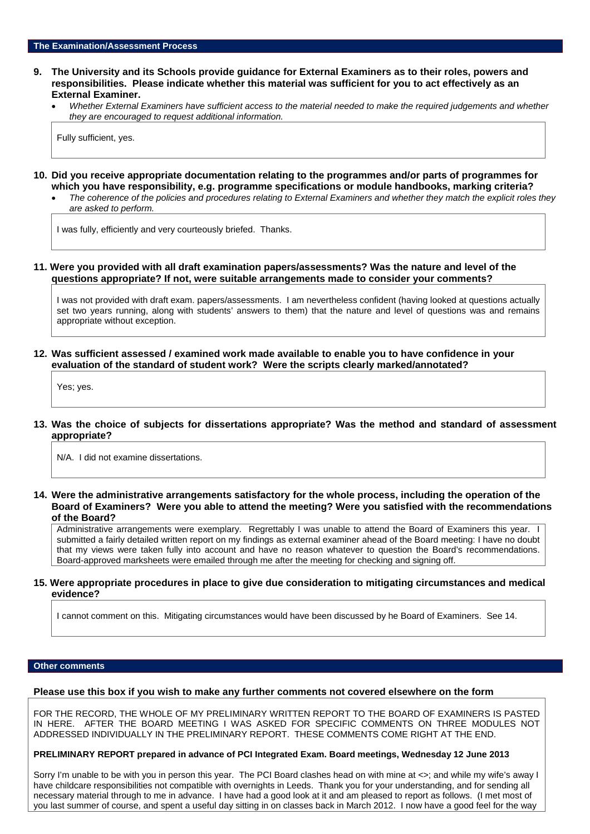#### **9. The University and its Schools provide guidance for External Examiners as to their roles, powers and responsibilities. Please indicate whether this material was sufficient for you to act effectively as an External Examiner.**

 *Whether External Examiners have sufficient access to the material needed to make the required judgements and whether they are encouraged to request additional information.*

Fully sufficient, yes.

- **10. Did you receive appropriate documentation relating to the programmes and/or parts of programmes for which you have responsibility, e.g. programme specifications or module handbooks, marking criteria?**
	- *The coherence of the policies and procedures relating to External Examiners and whether they match the explicit roles they are asked to perform.*

I was fully, efficiently and very courteously briefed. Thanks.

#### **11. Were you provided with all draft examination papers/assessments? Was the nature and level of the questions appropriate? If not, were suitable arrangements made to consider your comments?**

I was not provided with draft exam. papers/assessments. I am nevertheless confident (having looked at questions actually set two years running, along with students' answers to them) that the nature and level of questions was and remains appropriate without exception.

### **12. Was sufficient assessed / examined work made available to enable you to have confidence in your evaluation of the standard of student work? Were the scripts clearly marked/annotated?**

Yes; yes.

**13. Was the choice of subjects for dissertations appropriate? Was the method and standard of assessment appropriate?**

N/A. I did not examine dissertations.

**14. Were the administrative arrangements satisfactory for the whole process, including the operation of the Board of Examiners? Were you able to attend the meeting? Were you satisfied with the recommendations of the Board?**

Administrative arrangements were exemplary. Regrettably I was unable to attend the Board of Examiners this year. I submitted a fairly detailed written report on my findings as external examiner ahead of the Board meeting: I have no doubt that my views were taken fully into account and have no reason whatever to question the Board's recommendations. Board-approved marksheets were emailed through me after the meeting for checking and signing off.

#### **15. Were appropriate procedures in place to give due consideration to mitigating circumstances and medical evidence?**

I cannot comment on this. Mitigating circumstances would have been discussed by he Board of Examiners. See 14.

#### **Other comments**

#### **Please use this box if you wish to make any further comments not covered elsewhere on the form**

FOR THE RECORD, THE WHOLE OF MY PRELIMINARY WRITTEN REPORT TO THE BOARD OF EXAMINERS IS PASTED IN HERE. AFTER THE BOARD MEETING I WAS ASKED FOR SPECIFIC COMMENTS ON THREE MODULES NOT ADDRESSED INDIVIDUALLY IN THE PRELIMINARY REPORT. THESE COMMENTS COME RIGHT AT THE END.

#### **PRELIMINARY REPORT prepared in advance of PCI Integrated Exam. Board meetings, Wednesday 12 June 2013**

Sorry I'm unable to be with you in person this year. The PCI Board clashes head on with mine at <>; and while my wife's away I have childcare responsibilities not compatible with overnights in Leeds. Thank you for your understanding, and for sending all necessary material through to me in advance. I have had a good look at it and am pleased to report as follows. (I met most of you last summer of course, and spent a useful day sitting in on classes back in March 2012. I now have a good feel for the way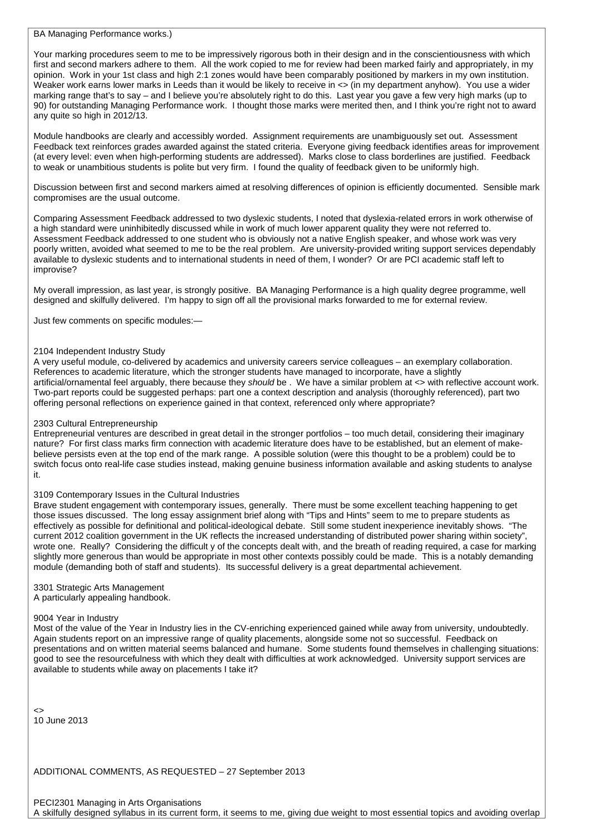BA Managing Performance works.)

Your marking procedures seem to me to be impressively rigorous both in their design and in the conscientiousness with which first and second markers adhere to them. All the work copied to me for review had been marked fairly and appropriately, in my opinion. Work in your 1st class and high 2:1 zones would have been comparably positioned by markers in my own institution. Weaker work earns lower marks in Leeds than it would be likely to receive in  $\lt$  (in my department anyhow). You use a wider marking range that's to say – and I believe you're absolutely right to do this. Last year you gave a few very high marks (up to 90) for outstanding Managing Performance work. I thought those marks were merited then, and I think you're right not to award any quite so high in 2012/13.

Module handbooks are clearly and accessibly worded. Assignment requirements are unambiguously set out. Assessment Feedback text reinforces grades awarded against the stated criteria. Everyone giving feedback identifies areas for improvement (at every level: even when high-performing students are addressed). Marks close to class borderlines are justified. Feedback to weak or unambitious students is polite but very firm. I found the quality of feedback given to be uniformly high.

Discussion between first and second markers aimed at resolving differences of opinion is efficiently documented. Sensible mark compromises are the usual outcome.

Comparing Assessment Feedback addressed to two dyslexic students, I noted that dyslexia-related errors in work otherwise of a high standard were uninhibitedly discussed while in work of much lower apparent quality they were not referred to. Assessment Feedback addressed to one student who is obviously not a native English speaker, and whose work was very poorly written, avoided what seemed to me to be the real problem. Are university-provided writing support services dependably available to dyslexic students and to international students in need of them, I wonder? Or are PCI academic staff left to improvise?

My overall impression, as last year, is strongly positive. BA Managing Performance is a high quality degree programme, well designed and skilfully delivered. I'm happy to sign off all the provisional marks forwarded to me for external review.

Just few comments on specific modules:—

#### 2104 Independent Industry Study

A very useful module, co-delivered by academics and university careers service colleagues – an exemplary collaboration. References to academic literature, which the stronger students have managed to incorporate, have a slightly artificial/ornamental feel arguably, there because they *should* be . We have a similar problem at <> with reflective account work. Two-part reports could be suggested perhaps: part one a context description and analysis (thoroughly referenced), part two offering personal reflections on experience gained in that context, referenced only where appropriate?

### 2303 Cultural Entrepreneurship

Entrepreneurial ventures are described in great detail in the stronger portfolios – too much detail, considering their imaginary nature? For first class marks firm connection with academic literature does have to be established, but an element of makebelieve persists even at the top end of the mark range. A possible solution (were this thought to be a problem) could be to switch focus onto real-life case studies instead, making genuine business information available and asking students to analyse it.

#### 3109 Contemporary Issues in the Cultural Industries

Brave student engagement with contemporary issues, generally. There must be some excellent teaching happening to get those issues discussed. The long essay assignment brief along with "Tips and Hints" seem to me to prepare students as effectively as possible for definitional and political-ideological debate. Still some student inexperience inevitably shows. "The current 2012 coalition government in the UK reflects the increased understanding of distributed power sharing within society", wrote one. Really? Considering the difficult y of the concepts dealt with, and the breath of reading required, a case for marking slightly more generous than would be appropriate in most other contexts possibly could be made. This is a notably demanding module (demanding both of staff and students). Its successful delivery is a great departmental achievement.

3301 Strategic Arts Management A particularly appealing handbook.

### 9004 Year in Industry

Most of the value of the Year in Industry lies in the CV-enriching experienced gained while away from university, undoubtedly. Again students report on an impressive range of quality placements, alongside some not so successful. Feedback on presentations and on written material seems balanced and humane. Some students found themselves in challenging situations: good to see the resourcefulness with which they dealt with difficulties at work acknowledged. University support services are available to students while away on placements I take it?

<> 10 June 2013

ADDITIONAL COMMENTS, AS REQUESTED – 27 September 2013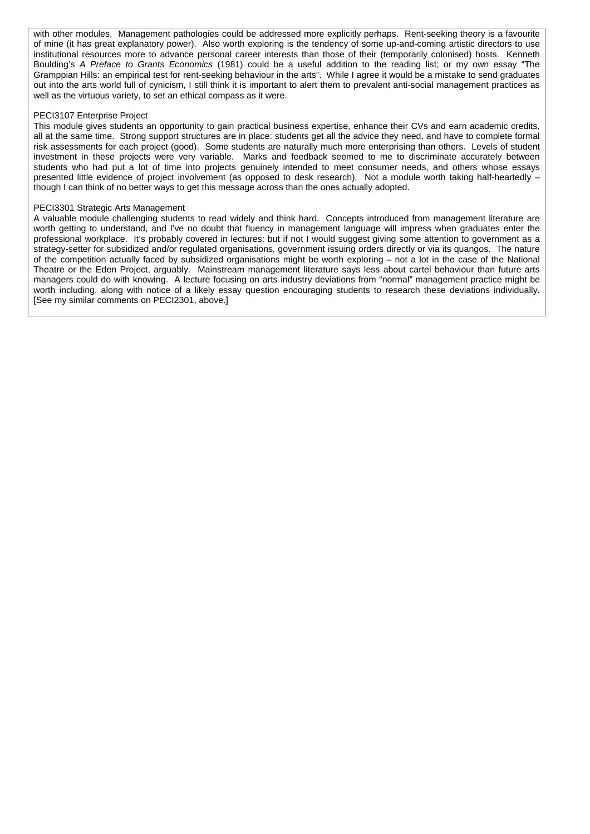with other modules, Management pathologies could be addressed more explicitly perhaps. Rent-seeking theory is a favourite of mine (it has great explanatory power). Also worth exploring is the tendency of some up-and-coming artistic directors to use institutional resources more to advance personal career interests than those of their (temporarily colonised) hosts. Kenneth Boulding's *A Preface to Grants Economics* (1981) could be a useful addition to the reading list; or my own essay "The Gramppian Hills: an empirical test for rent-seeking behaviour in the arts". While I agree it would be a mistake to send graduates out into the arts world full of cynicism, I still think it is important to alert them to prevalent anti-social management practices as well as the virtuous variety, to set an ethical compass as it were.

#### PECI3107 Enterprise Project

This module gives students an opportunity to gain practical business expertise, enhance their CVs and earn academic credits, all at the same time. Strong support structures are in place: students get all the advice they need, and have to complete formal risk assessments for each project (good). Some students are naturally much more enterprising than others. Levels of student investment in these projects were very variable. Marks and feedback seemed to me to discriminate accurately between students who had put a lot of time into projects genuinely intended to meet consumer needs, and others whose essays presented little evidence of project involvement (as opposed to desk research). Not a module worth taking half-heartedly – though I can think of no better ways to get this message across than the ones actually adopted.

#### PECI3301 Strategic Arts Management

A valuable module challenging students to read widely and think hard. Concepts introduced from management literature are worth getting to understand, and I've no doubt that fluency in management language will impress when graduates enter the professional workplace. It's probably covered in lectures: but if not I would suggest giving some attention to government as a strategy-setter for subsidized and/or regulated organisations, government issuing orders directly or via its quangos. The nature of the competition actually faced by subsidized organisations might be worth exploring – not a lot in the case of the National Theatre or the Eden Project, arguably. Mainstream management literature says less about cartel behaviour than future arts managers could do with knowing. A lecture focusing on arts industry deviations from "normal" management practice might be worth including, along with notice of a likely essay question encouraging students to research these deviations individually. [See my similar comments on PECI2301, above.]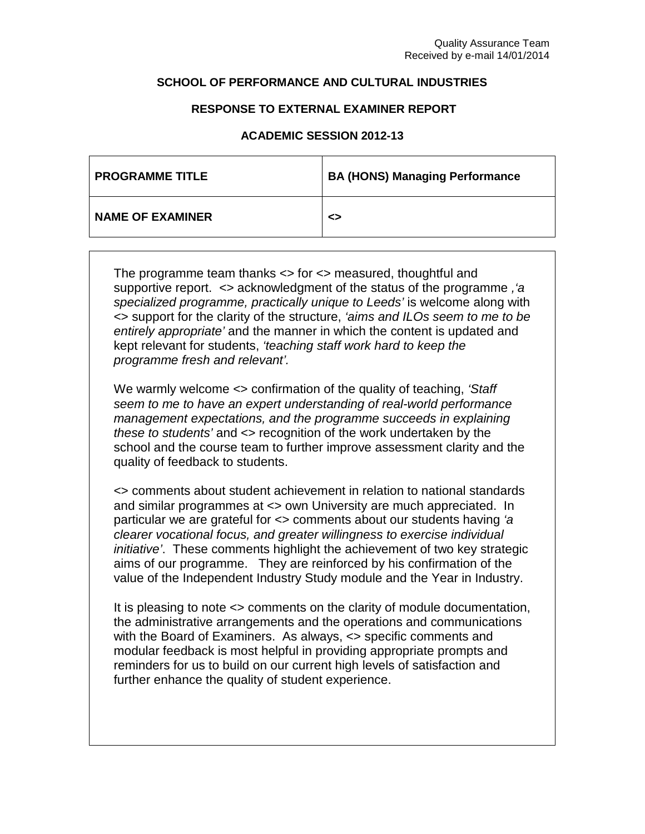## **SCHOOL OF PERFORMANCE AND CULTURAL INDUSTRIES**

## **RESPONSE TO EXTERNAL EXAMINER REPORT**

## **ACADEMIC SESSION 2012-13**

| <b>PROGRAMME TITLE</b>  | <b>BA (HONS) Managing Performance</b> |
|-------------------------|---------------------------------------|
| <b>NAME OF EXAMINER</b> | ◇                                     |

The programme team thanks <> for <> measured, thoughtful and supportive report. <> acknowledgment of the status of the programme *,'a specialized programme, practically unique to Leeds'* is welcome along with <> support for the clarity of the structure, *'aims and ILOs seem to me to be entirely appropriate'* and the manner in which the content is updated and kept relevant for students, *'teaching staff work hard to keep the programme fresh and relevant'.*

We warmly welcome <> confirmation of the quality of teaching, *'Staff seem to me to have an expert understanding of real-world performance management expectations, and the programme succeeds in explaining these to students'* and <> recognition of the work undertaken by the school and the course team to further improve assessment clarity and the quality of feedback to students.

<> comments about student achievement in relation to national standards and similar programmes at <> own University are much appreciated. In particular we are grateful for <> comments about our students having *'a clearer vocational focus, and greater willingness to exercise individual initiative'*. These comments highlight the achievement of two key strategic aims of our programme. They are reinforced by his confirmation of the value of the Independent Industry Study module and the Year in Industry.

It is pleasing to note <> comments on the clarity of module documentation, the administrative arrangements and the operations and communications with the Board of Examiners. As always, <> specific comments and modular feedback is most helpful in providing appropriate prompts and reminders for us to build on our current high levels of satisfaction and further enhance the quality of student experience.